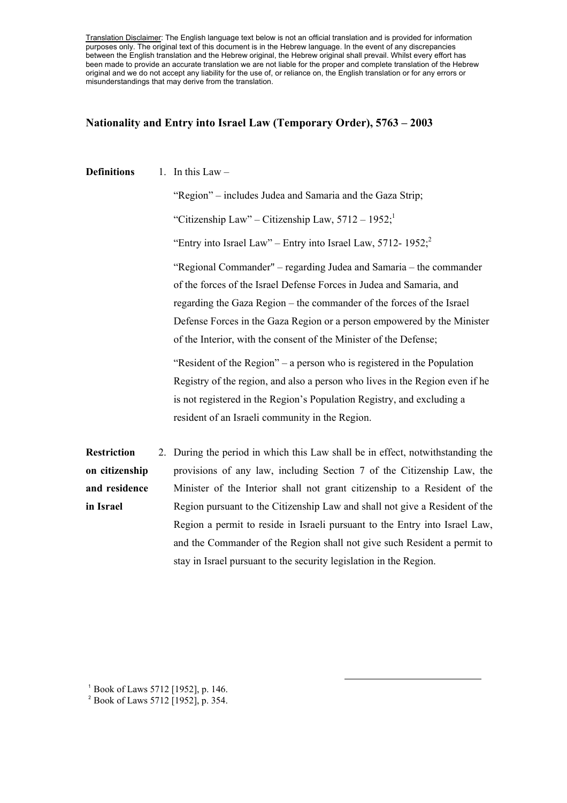Translation Disclaimer: The English language text below is not an official translation and is provided for information purposes only. The original text of this document is in the Hebrew language. In the event of any discrepancies between the English translation and the Hebrew original, the Hebrew original shall prevail. Whilst every effort has been made to provide an accurate translation we are not liable for the proper and complete translation of the Hebrew original and we do not accept any liability for the use of, or reliance on, the English translation or for any errors or misunderstandings that may derive from the translation.

## **Nationality and Entry into Israel Law (Temporary Order), 5763 – 2003**

## **Definitions** 1. In this Law –

"Region" – includes Judea and Samaria and the Gaza Strip; "Citizenship Law" – Citizenship Law,  $5712 - 1952$ ; "Entry into Israel Law" – Entry into Israel Law,  $5712 - 1952$ ; "Regional Commander" – regarding Judea and Samaria – the commander of the forces of the Israel Defense Forces in Judea and Samaria, and regarding the Gaza Region – the commander of the forces of the Israel Defense Forces in the Gaza Region or a person empowered by the Minister of the Interior, with the consent of the Minister of the Defense;

"Resident of the Region" – a person who is registered in the Population Registry of the region, and also a person who lives in the Region even if he is not registered in the Region's Population Registry, and excluding a resident of an Israeli community in the Region.

l

**Restriction on citizenship and residence in Israel**  2. During the period in which this Law shall be in effect, notwithstanding the provisions of any law, including Section 7 of the Citizenship Law, the Minister of the Interior shall not grant citizenship to a Resident of the Region pursuant to the Citizenship Law and shall not give a Resident of the Region a permit to reside in Israeli pursuant to the Entry into Israel Law, and the Commander of the Region shall not give such Resident a permit to stay in Israel pursuant to the security legislation in the Region.

<sup>1</sup> Book of Laws 5712 [1952], p. 146.

<sup>&</sup>lt;sup>2</sup> Book of Laws 5712 [1952], p. 354.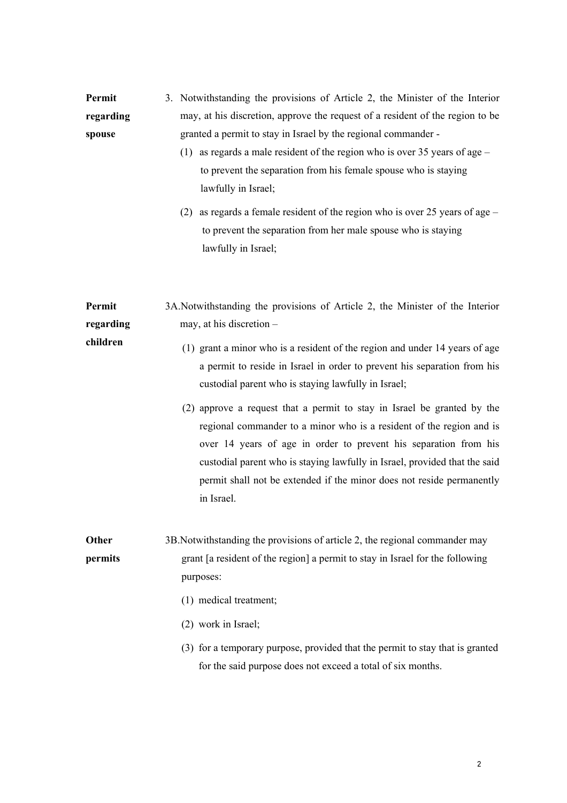| Permit    | 3. Notwithstanding the provisions of Article 2, the Minister of the Interior  |
|-----------|-------------------------------------------------------------------------------|
| regarding | may, at his discretion, approve the request of a resident of the region to be |
| spouse    | granted a permit to stay in Israel by the regional commander -                |

- (1) as regards a male resident of the region who is over 35 years of age to prevent the separation from his female spouse who is staying lawfully in Israel;
- (2) as regards a female resident of the region who is over 25 years of age to prevent the separation from her male spouse who is staying lawfully in Israel;
- **Permit regarding**  3A.Notwithstanding the provisions of Article 2, the Minister of the Interior may, at his discretion –
- **children**  (1) grant a minor who is a resident of the region and under 14 years of age a permit to reside in Israel in order to prevent his separation from his custodial parent who is staying lawfully in Israel;
	- (2) approve a request that a permit to stay in Israel be granted by the regional commander to a minor who is a resident of the region and is over 14 years of age in order to prevent his separation from his custodial parent who is staying lawfully in Israel, provided that the said permit shall not be extended if the minor does not reside permanently in Israel.

**Other permits** 3B.Notwithstanding the provisions of article 2, the regional commander may grant [a resident of the region] a permit to stay in Israel for the following purposes:

- (1) medical treatment;
- (2) work in Israel;
- (3) for a temporary purpose, provided that the permit to stay that is granted for the said purpose does not exceed a total of six months.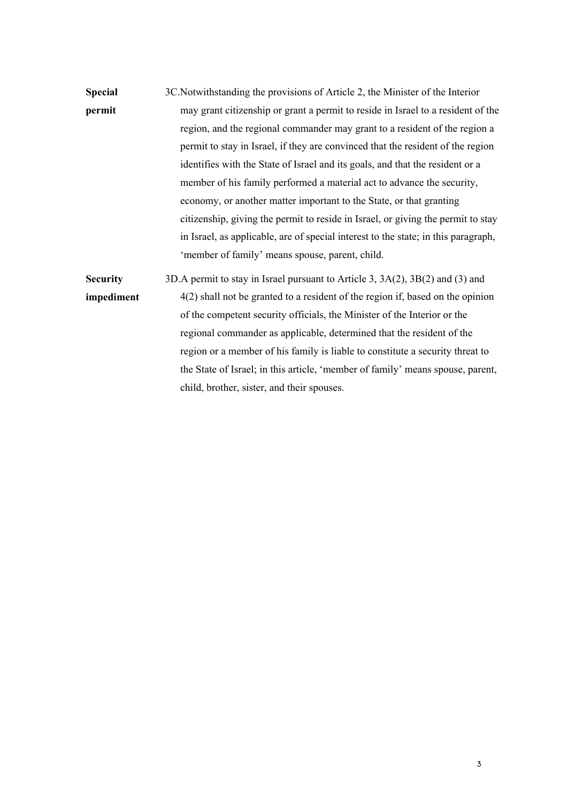**Special permit** 3C.Notwithstanding the provisions of Article 2, the Minister of the Interior may grant citizenship or grant a permit to reside in Israel to a resident of the region, and the regional commander may grant to a resident of the region a permit to stay in Israel, if they are convinced that the resident of the region identifies with the State of Israel and its goals, and that the resident or a member of his family performed a material act to advance the security, economy, or another matter important to the State, or that granting citizenship, giving the permit to reside in Israel, or giving the permit to stay in Israel, as applicable, are of special interest to the state; in this paragraph, 'member of family' means spouse, parent, child.

**Security impediment** 3D.A permit to stay in Israel pursuant to Article 3, 3A(2), 3B(2) and (3) and 4(2) shall not be granted to a resident of the region if, based on the opinion of the competent security officials, the Minister of the Interior or the regional commander as applicable, determined that the resident of the region or a member of his family is liable to constitute a security threat to the State of Israel; in this article, 'member of family' means spouse, parent, child, brother, sister, and their spouses.